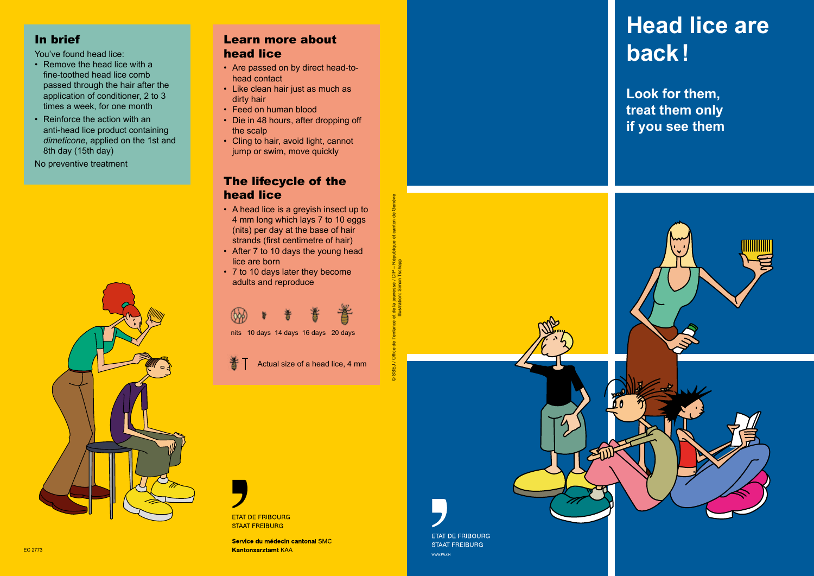# In brief

You've found head lice:

- Remove the head lice with a fine-toothed head lice comb passed through the hair after the application of conditioner, 2 to 3 times a week, for one month
- Reinforce the action with an anti-head lice product containing *dimeticone*, applied on the 1st and 8th day (15th day)

No preventive treatment



## Learn more about head lice

- Are passed on by direct head-tohead contact
- Like clean hair just as much as dirty hair
- Feed on human blood
- Die in 48 hours, after dropping off the scalp
- Cling to hair, avoid light, cannot jump or swim, move quickly

# The lifecycle of the head lice

- A head lice is a greyish insect up to 4 mm long which lays 7 to 10 eggs (nits) per day at the base of hair strands (first centimetre of hair)
- After 7 to 10 days the young head lice are born
- 7 to 10 days later they become adults and reproduce



nits 10 days 14 days 16 days 20 days

Actual size of a head lice, 4 mm

© SSEJ / Office de l'enfance et de la jeunesse / DIP – République et canton de Genève Illustration: Simon Tschopp

 $SEJ/$ 



Service du médecin cantonal SMC **Kantonsarztamt KAA** 

WWW.FR.CH

# **Head lice are back!**

**Look for them, treat them only if you see them**